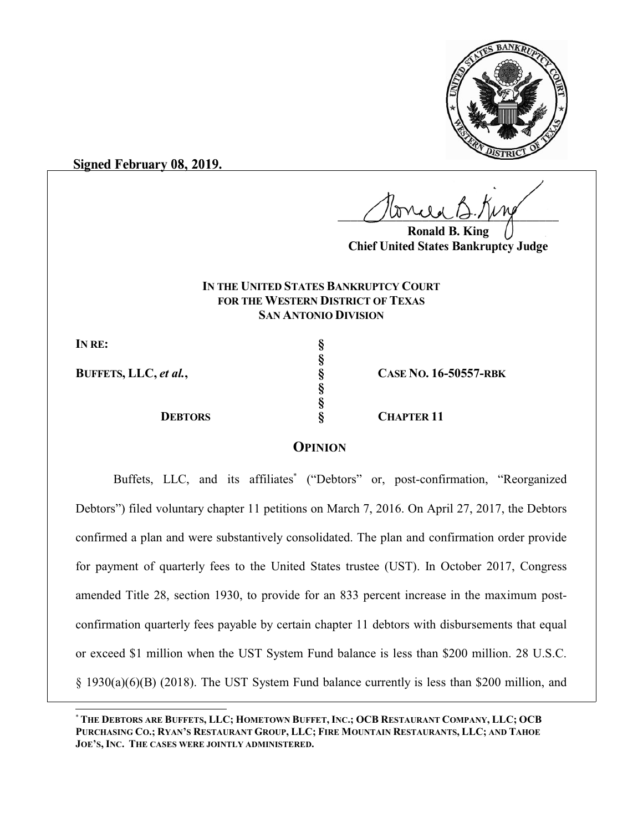

**Signed February 08, 2019.**

 $U^{WVWW}$ 

**Ronald B. King Chief United States Bankruptcy Judge**

## **IN THE UNITED STATES BANKRUPTCY COURT FOR THE WESTERN DISTRICT OF TEXAS SAN ANTONIO DIVISION**

**§**

**§ §**

**IN RE: §**

**BUFFETS, LLC,** *et al.***, § CASE NO. 16-50557-RBK**

**DEBTORS § CHAPTER 11**

## **OPINION**

Buffets, LLC, and its affiliates\* ("Debtors" or, post-confirmation, "Reorganized Debtors") filed voluntary chapter 11 petitions on March 7, 2016. On April 27, 2017, the Debtors confirmed a plan and were substantively consolidated. The plan and confirmation order provide for payment of quarterly fees to the United States trustee (UST). In October 2017, Congress amended Title 28, section 1930, to provide for an 833 percent increase in the maximum postconfirmation quarterly fees payable by certain chapter 11 debtors with disbursements that equal or exceed \$1 million when the UST System Fund balance is less than \$200 million. 28 U.S.C. § 1930(a)(6)(B) (2018). The UST System Fund balance currently is less than \$200 million, and

<sup>\*</sup> THE DEBTORS ARE BUFFETS, LLC; HOMETOWN BUFFET, INC.; OCB RESTAURANT COMPANY, LLC; OCB PURCHASING CO.; RYAN'S RESTAURANT GROUP, LLC; FIRE MOUNTAIN RESTAURANTS, LLC; AND TAHOE **JOE'S, INC. THE CASES WERE JOINTLY ADMINISTERED.**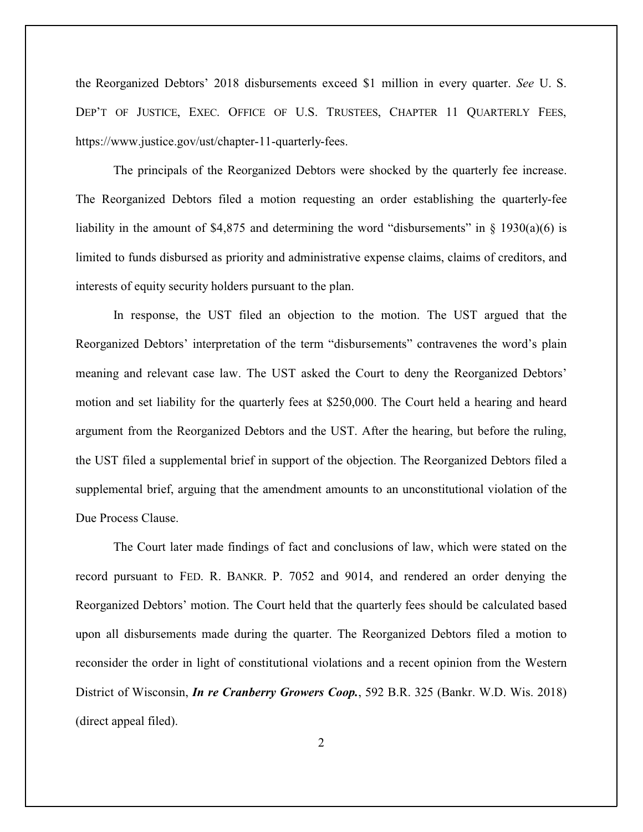the Reorganized Debtors' 2018 disbursements exceed \$1 million in every quarter. *See* U. S. DEP'T OF JUSTICE, EXEC. OFFICE OF U.S. TRUSTEES, CHAPTER 11 QUARTERLY FEES, https://www.justice.gov/ust/chapter-11-quarterly-fees.

The principals of the Reorganized Debtors were shocked by the quarterly fee increase. The Reorganized Debtors filed a motion requesting an order establishing the quarterly-fee liability in the amount of \$4,875 and determining the word "disbursements" in  $\S$  1930(a)(6) is limited to funds disbursed as priority and administrative expense claims, claims of creditors, and interests of equity security holders pursuant to the plan.

In response, the UST filed an objection to the motion. The UST argued that the Reorganized Debtors' interpretation of the term "disbursements" contravenes the word's plain meaning and relevant case law. The UST asked the Court to deny the Reorganized Debtors' motion and set liability for the quarterly fees at \$250,000. The Court held a hearing and heard argument from the Reorganized Debtors and the UST. After the hearing, but before the ruling, the UST filed a supplemental brief in support of the objection. The Reorganized Debtors filed a supplemental brief, arguing that the amendment amounts to an unconstitutional violation of the Due Process Clause.

The Court later made findings of fact and conclusions of law, which were stated on the record pursuant to FED. R. BANKR. P. 7052 and 9014, and rendered an order denying the Reorganized Debtors' motion. The Court held that the quarterly fees should be calculated based upon all disbursements made during the quarter. The Reorganized Debtors filed a motion to reconsider the order in light of constitutional violations and a recent opinion from the Western District of Wisconsin, *In re Cranberry Growers Coop.*, 592 B.R. 325 (Bankr. W.D. Wis. 2018) (direct appeal filed).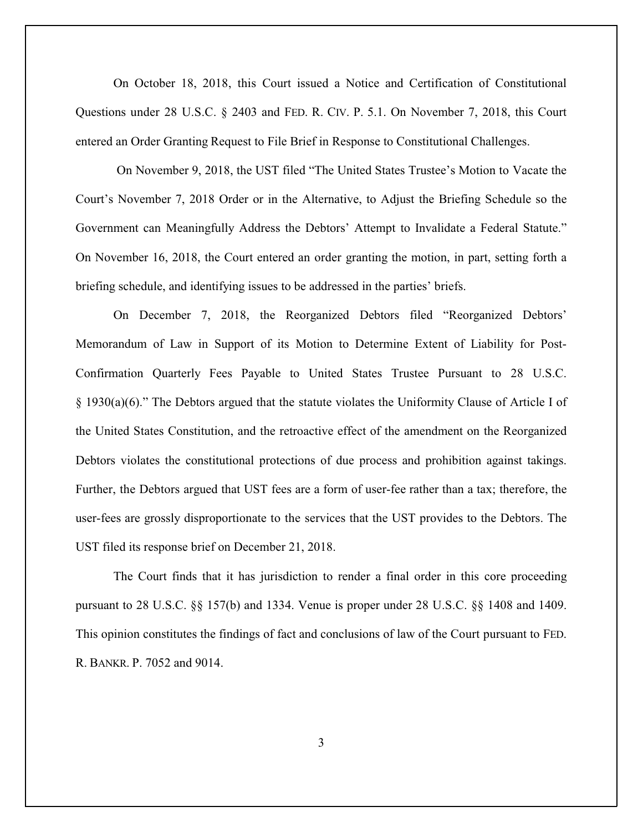On October 18, 2018, this Court issued a Notice and Certification of Constitutional Questions under 28 U.S.C. § 2403 and FED. R. CIV. P. 5.1. On November 7, 2018, this Court entered an Order Granting Request to File Brief in Response to Constitutional Challenges.

On November 9, 2018, the UST filed "The United States Trustee's Motion to Vacate the Court's November 7, 2018 Order or in the Alternative, to Adjust the Briefing Schedule so the Government can Meaningfully Address the Debtors' Attempt to Invalidate a Federal Statute." On November 16, 2018, the Court entered an order granting the motion, in part, setting forth a briefing schedule, and identifying issues to be addressed in the parties' briefs.

On December 7, 2018, the Reorganized Debtors filed "Reorganized Debtors' Memorandum of Law in Support of its Motion to Determine Extent of Liability for Post-Confirmation Quarterly Fees Payable to United States Trustee Pursuant to 28 U.S.C. § 1930(a)(6)." The Debtors argued that the statute violates the Uniformity Clause of Article I of the United States Constitution, and the retroactive effect of the amendment on the Reorganized Debtors violates the constitutional protections of due process and prohibition against takings. Further, the Debtors argued that UST fees are a form of user-fee rather than a tax; therefore, the user-fees are grossly disproportionate to the services that the UST provides to the Debtors. The UST filed its response brief on December 21, 2018.

The Court finds that it has jurisdiction to render a final order in this core proceeding pursuant to 28 U.S.C. §§ 157(b) and 1334. Venue is proper under 28 U.S.C. §§ 1408 and 1409. This opinion constitutes the findings of fact and conclusions of law of the Court pursuant to FED. R. BANKR. P. 7052 and 9014.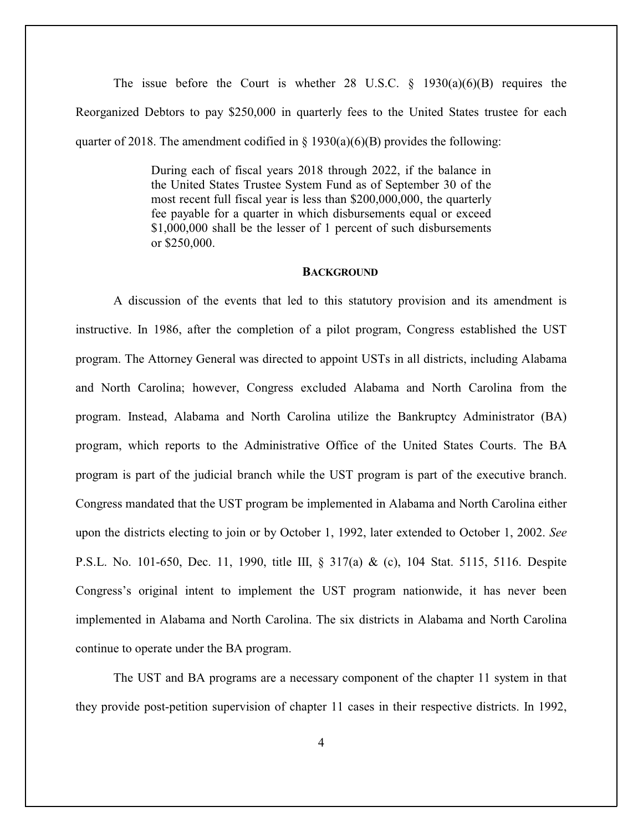The issue before the Court is whether 28 U.S.C.  $\S$  1930(a)(6)(B) requires the Reorganized Debtors to pay \$250,000 in quarterly fees to the United States trustee for each quarter of 2018. The amendment codified in  $\S$  1930(a)(6)(B) provides the following:

> During each of fiscal years 2018 through 2022, if the balance in the United States Trustee System Fund as of September 30 of the most recent full fiscal year is less than \$200,000,000, the quarterly fee payable for a quarter in which disbursements equal or exceed \$1,000,000 shall be the lesser of 1 percent of such disbursements or \$250,000.

### **BACKGROUND**

A discussion of the events that led to this statutory provision and its amendment is instructive. In 1986, after the completion of a pilot program, Congress established the UST program. The Attorney General was directed to appoint USTs in all districts, including Alabama and North Carolina; however, Congress excluded Alabama and North Carolina from the program. Instead, Alabama and North Carolina utilize the Bankruptcy Administrator (BA) program, which reports to the Administrative Office of the United States Courts. The BA program is part of the judicial branch while the UST program is part of the executive branch. Congress mandated that the UST program be implemented in Alabama and North Carolina either upon the districts electing to join or by October 1, 1992, later extended to October 1, 2002. *See* P.S.L. No. 101-650, Dec. 11, 1990, title III, § 317(a) & (c), 104 Stat. 5115, 5116. Despite Congress's original intent to implement the UST program nationwide, it has never been implemented in Alabama and North Carolina. The six districts in Alabama and North Carolina continue to operate under the BA program.

The UST and BA programs are a necessary component of the chapter 11 system in that they provide post-petition supervision of chapter 11 cases in their respective districts. In 1992,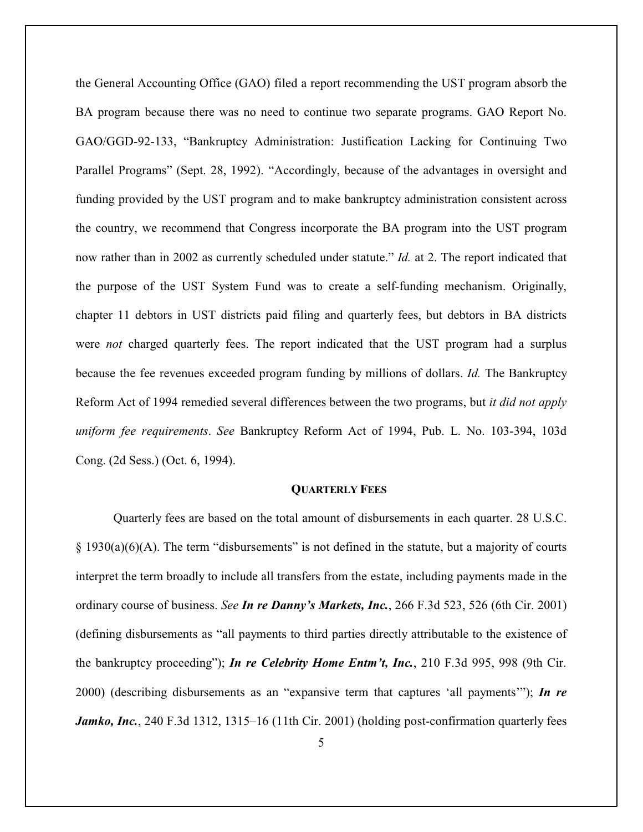the General Accounting Office (GAO) filed a report recommending the UST program absorb the BA program because there was no need to continue two separate programs. GAO Report No. GAO/GGD-92-133, "Bankruptcy Administration: Justification Lacking for Continuing Two Parallel Programs" (Sept. 28, 1992). "Accordingly, because of the advantages in oversight and funding provided by the UST program and to make bankruptcy administration consistent across the country, we recommend that Congress incorporate the BA program into the UST program now rather than in 2002 as currently scheduled under statute." *Id.* at 2. The report indicated that the purpose of the UST System Fund was to create a self-funding mechanism. Originally, chapter 11 debtors in UST districts paid filing and quarterly fees, but debtors in BA districts were *not* charged quarterly fees. The report indicated that the UST program had a surplus because the fee revenues exceeded program funding by millions of dollars. *Id.* The Bankruptcy Reform Act of 1994 remedied several differences between the two programs, but *it did not apply uniform fee requirements*. *See* Bankruptcy Reform Act of 1994, Pub. L. No. 103-394, 103d Cong. (2d Sess.) (Oct. 6, 1994).

### **QUARTERLY FEES**

Quarterly fees are based on the total amount of disbursements in each quarter. 28 U.S.C.  $\S$  1930(a)(6)(A). The term "disbursements" is not defined in the statute, but a majority of courts interpret the term broadly to include all transfers from the estate, including payments made in the ordinary course of business. *See In re Danny's Markets, Inc.*, 266 F.3d 523, 526 (6th Cir. 2001) (defining disbursements as "all payments to third parties directly attributable to the existence of the bankruptcy proceeding"); *In re Celebrity Home Entm't, Inc.*, 210 F.3d 995, 998 (9th Cir. 2000) (describing disbursements as an "expansive term that captures 'all payments'"); *In re Jamko, Inc.*, 240 F.3d 1312, 1315–16 (11th Cir. 2001) (holding post-confirmation quarterly fees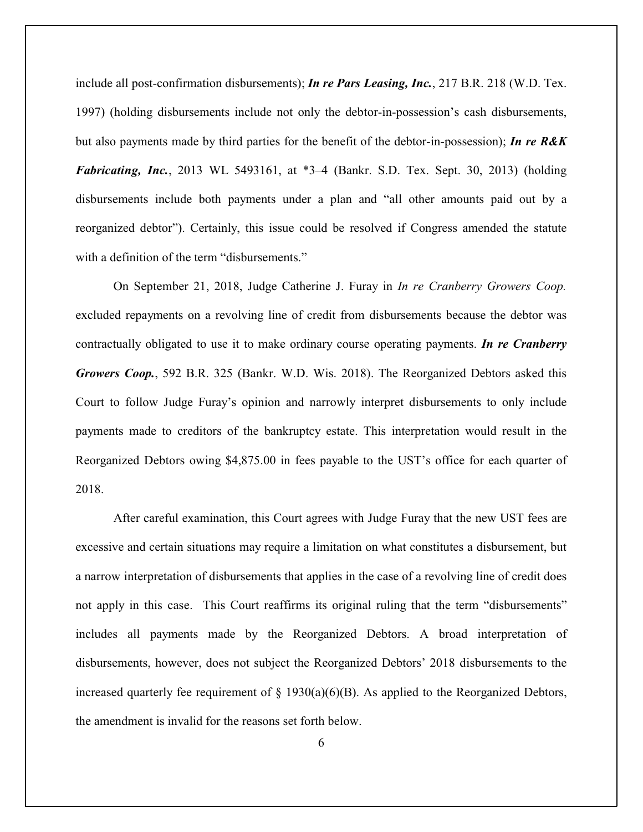include all post-confirmation disbursements); *In re Pars Leasing, Inc.*, 217 B.R. 218 (W.D. Tex. 1997) (holding disbursements include not only the debtor-in-possession's cash disbursements, but also payments made by third parties for the benefit of the debtor-in-possession); *In re R&K Fabricating, Inc.*, 2013 WL 5493161, at \*3–4 (Bankr. S.D. Tex. Sept. 30, 2013) (holding disbursements include both payments under a plan and "all other amounts paid out by a reorganized debtor"). Certainly, this issue could be resolved if Congress amended the statute with a definition of the term "disbursements."

On September 21, 2018, Judge Catherine J. Furay in *In re Cranberry Growers Coop.* excluded repayments on a revolving line of credit from disbursements because the debtor was contractually obligated to use it to make ordinary course operating payments. *In re Cranberry Growers Coop.*, 592 B.R. 325 (Bankr. W.D. Wis. 2018). The Reorganized Debtors asked this Court to follow Judge Furay's opinion and narrowly interpret disbursements to only include payments made to creditors of the bankruptcy estate. This interpretation would result in the Reorganized Debtors owing \$4,875.00 in fees payable to the UST's office for each quarter of 2018.

After careful examination, this Court agrees with Judge Furay that the new UST fees are excessive and certain situations may require a limitation on what constitutes a disbursement, but a narrow interpretation of disbursements that applies in the case of a revolving line of credit does not apply in this case. This Court reaffirms its original ruling that the term "disbursements" includes all payments made by the Reorganized Debtors. A broad interpretation of disbursements, however, does not subject the Reorganized Debtors' 2018 disbursements to the increased quarterly fee requirement of  $\S$  1930(a)(6)(B). As applied to the Reorganized Debtors, the amendment is invalid for the reasons set forth below.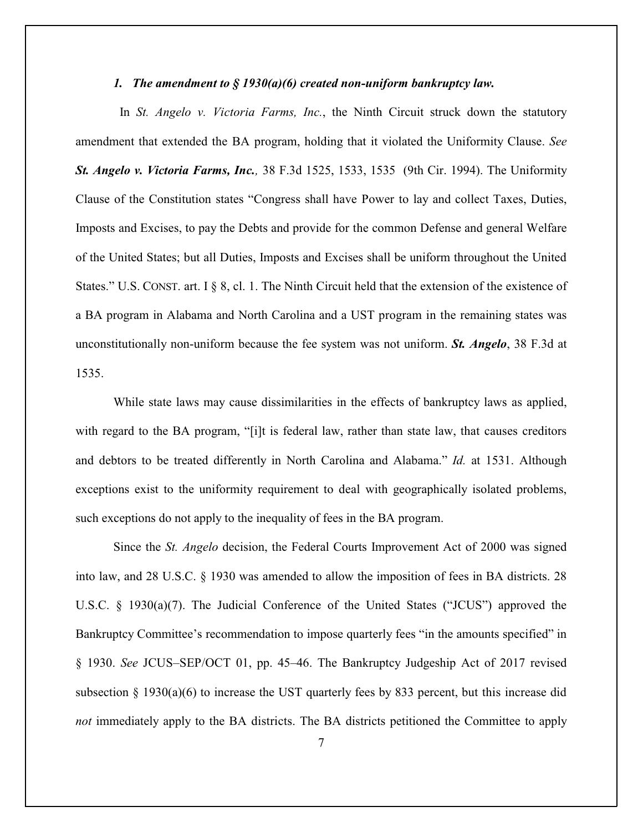### *1. The amendment to § 1930(a)(6) created non-uniform bankruptcy law.*

In *St. Angelo v. Victoria Farms, Inc.*, the Ninth Circuit struck down the statutory amendment that extended the BA program, holding that it violated the Uniformity Clause. *See St. Angelo v. Victoria Farms, Inc.,* 38 F.3d 1525, 1533, 1535 (9th Cir. 1994). The Uniformity Clause of the Constitution states "Congress shall have Power to lay and collect Taxes, Duties, Imposts and Excises, to pay the Debts and provide for the common Defense and general Welfare of the United States; but all Duties, Imposts and Excises shall be uniform throughout the United States." U.S. CONST. art. I § 8, cl. 1. The Ninth Circuit held that the extension of the existence of a BA program in Alabama and North Carolina and a UST program in the remaining states was unconstitutionally non-uniform because the fee system was not uniform. *St. Angelo*, 38 F.3d at 1535.

While state laws may cause dissimilarities in the effects of bankruptcy laws as applied, with regard to the BA program, "[i]t is federal law, rather than state law, that causes creditors and debtors to be treated differently in North Carolina and Alabama." *Id.* at 1531. Although exceptions exist to the uniformity requirement to deal with geographically isolated problems, such exceptions do not apply to the inequality of fees in the BA program.

Since the *St. Angelo* decision, the Federal Courts Improvement Act of 2000 was signed into law, and 28 U.S.C. § 1930 was amended to allow the imposition of fees in BA districts. 28 U.S.C. § 1930(a)(7). The Judicial Conference of the United States ("JCUS") approved the Bankruptcy Committee's recommendation to impose quarterly fees "in the amounts specified" in § 1930. *See* JCUS–SEP/OCT 01, pp. 45–46. The Bankruptcy Judgeship Act of 2017 revised subsection  $\S$  1930(a)(6) to increase the UST quarterly fees by 833 percent, but this increase did *not* immediately apply to the BA districts. The BA districts petitioned the Committee to apply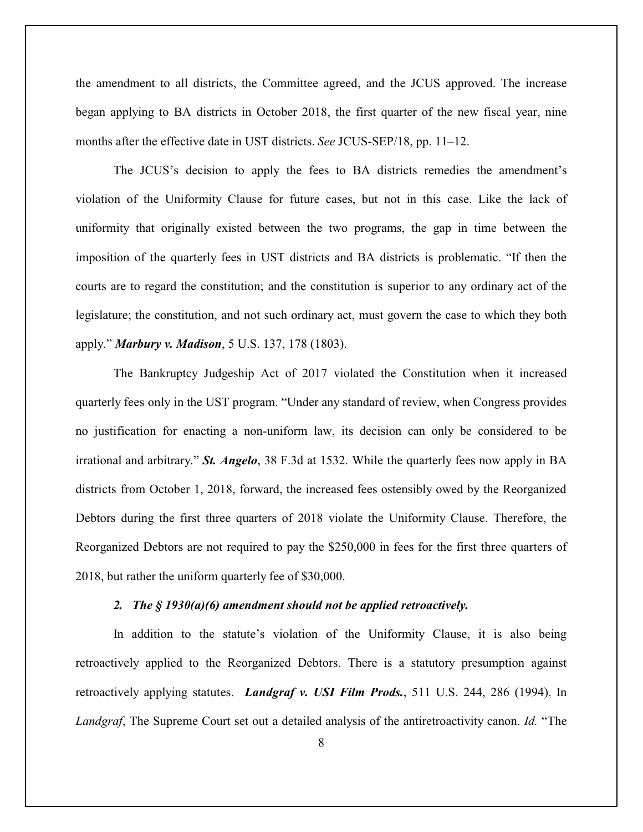the amendment to all districts, the Committee agreed, and the JCUS approved. The increase began applying to BA districts in October 2018, the first quarter of the new fiscal year, nine months after the effective date in UST districts. *See* JCUS-SEP/18, pp. 11–12.

The JCUS's decision to apply the fees to BA districts remedies the amendment's violation of the Uniformity Clause for future cases, but not in this case. Like the lack of uniformity that originally existed between the two programs, the gap in time between the imposition of the quarterly fees in UST districts and BA districts is problematic. "If then the courts are to regard the constitution; and the constitution is superior to any ordinary act of the legislature; the constitution, and not such ordinary act, must govern the case to which they both apply." *Marbury v. Madison*, 5 U.S. 137, 178 (1803).

The Bankruptcy Judgeship Act of 2017 violated the Constitution when it increased quarterly fees only in the UST program. "Under any standard of review, when Congress provides no justification for enacting a non-uniform law, its decision can only be considered to be irrational and arbitrary." *St. Angelo*, 38 F.3d at 1532. While the quarterly fees now apply in BA districts from October 1, 2018, forward, the increased fees ostensibly owed by the Reorganized Debtors during the first three quarters of 2018 violate the Uniformity Clause. Therefore, the Reorganized Debtors are not required to pay the \$250,000 in fees for the first three quarters of 2018, but rather the uniform quarterly fee of \$30,000.

#### *2. The § 1930(a)(6) amendment should not be applied retroactively.*

In addition to the statute's violation of the Uniformity Clause, it is also being retroactively applied to the Reorganized Debtors. There is a statutory presumption against retroactively applying statutes. *Landgraf v. USI Film Prods.*, 511 U.S. 244, 286 (1994). In *Landgraf*, The Supreme Court set out a detailed analysis of the antiretroactivity canon. *Id.* "The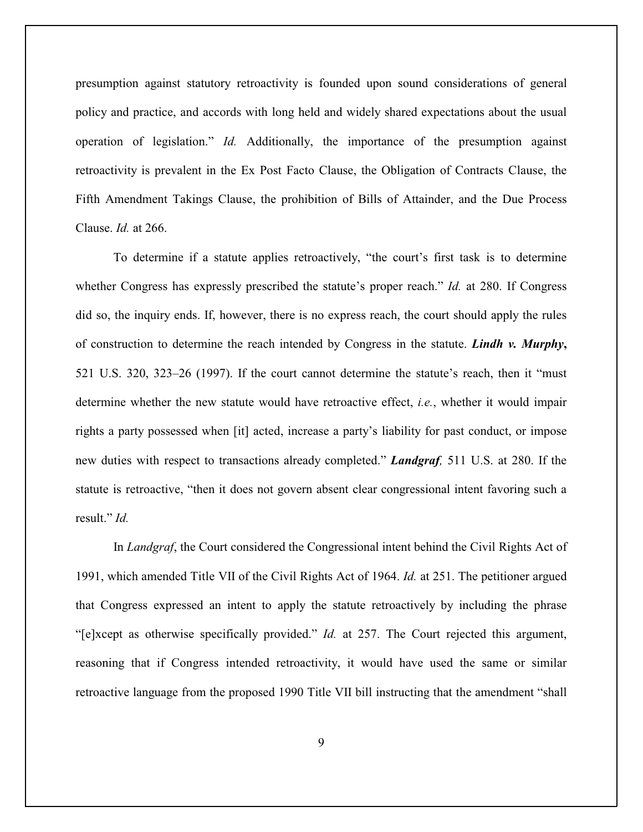presumption against statutory retroactivity is founded upon sound considerations of general policy and practice, and accords with long held and widely shared expectations about the usual operation of legislation." *Id.* Additionally, the importance of the presumption against retroactivity is prevalent in the Ex Post Facto Clause, the Obligation of Contracts Clause, the Fifth Amendment Takings Clause, the prohibition of Bills of Attainder, and the Due Process Clause. *Id.* at 266.

To determine if a statute applies retroactively, "the court's first task is to determine whether Congress has expressly prescribed the statute's proper reach." *Id.* at 280. If Congress did so, the inquiry ends. If, however, there is no express reach, the court should apply the rules of construction to determine the reach intended by Congress in the statute. *Lindh v. Murphy***,** 521 U.S. 320, 323–26 (1997). If the court cannot determine the statute's reach, then it "must determine whether the new statute would have retroactive effect, *i.e.*, whether it would impair rights a party possessed when [it] acted, increase a party's liability for past conduct, or impose new duties with respect to transactions already completed." *Landgraf,* 511 U.S. at 280. If the statute is retroactive, "then it does not govern absent clear congressional intent favoring such a result." *Id.*

In *Landgraf*, the Court considered the Congressional intent behind the Civil Rights Act of 1991, which amended Title VII of the Civil Rights Act of 1964. *Id.* at 251. The petitioner argued that Congress expressed an intent to apply the statute retroactively by including the phrase "[e]xcept as otherwise specifically provided." *Id.* at 257. The Court rejected this argument, reasoning that if Congress intended retroactivity, it would have used the same or similar retroactive language from the proposed 1990 Title VII bill instructing that the amendment "shall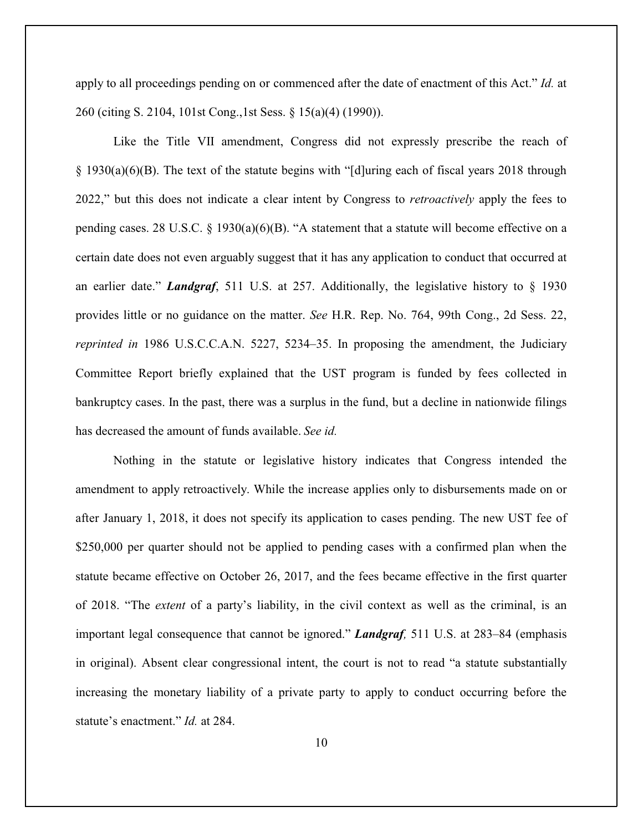apply to all proceedings pending on or commenced after the date of enactment of this Act." *Id.* at 260 (citing S. 2104, 101st Cong.,1st Sess. § 15(a)(4) (1990)).

Like the Title VII amendment, Congress did not expressly prescribe the reach of § 1930(a)(6)(B). The text of the statute begins with "[d]uring each of fiscal years 2018 through 2022," but this does not indicate a clear intent by Congress to *retroactively* apply the fees to pending cases. 28 U.S.C. § 1930(a)(6)(B). "A statement that a statute will become effective on a certain date does not even arguably suggest that it has any application to conduct that occurred at an earlier date." *Landgraf*, 511 U.S. at 257. Additionally, the legislative history to § 1930 provides little or no guidance on the matter. *See* H.R. Rep. No. 764, 99th Cong., 2d Sess. 22, *reprinted in* 1986 U.S.C.C.A.N. 5227, 5234–35. In proposing the amendment, the Judiciary Committee Report briefly explained that the UST program is funded by fees collected in bankruptcy cases. In the past, there was a surplus in the fund, but a decline in nationwide filings has decreased the amount of funds available. *See id.*

Nothing in the statute or legislative history indicates that Congress intended the amendment to apply retroactively. While the increase applies only to disbursements made on or after January 1, 2018, it does not specify its application to cases pending. The new UST fee of \$250,000 per quarter should not be applied to pending cases with a confirmed plan when the statute became effective on October 26, 2017, and the fees became effective in the first quarter of 2018. "The *extent* of a party's liability, in the civil context as well as the criminal, is an important legal consequence that cannot be ignored." *Landgraf,* 511 U.S. at 283–84 (emphasis in original). Absent clear congressional intent, the court is not to read "a statute substantially increasing the monetary liability of a private party to apply to conduct occurring before the statute's enactment." *Id.* at 284.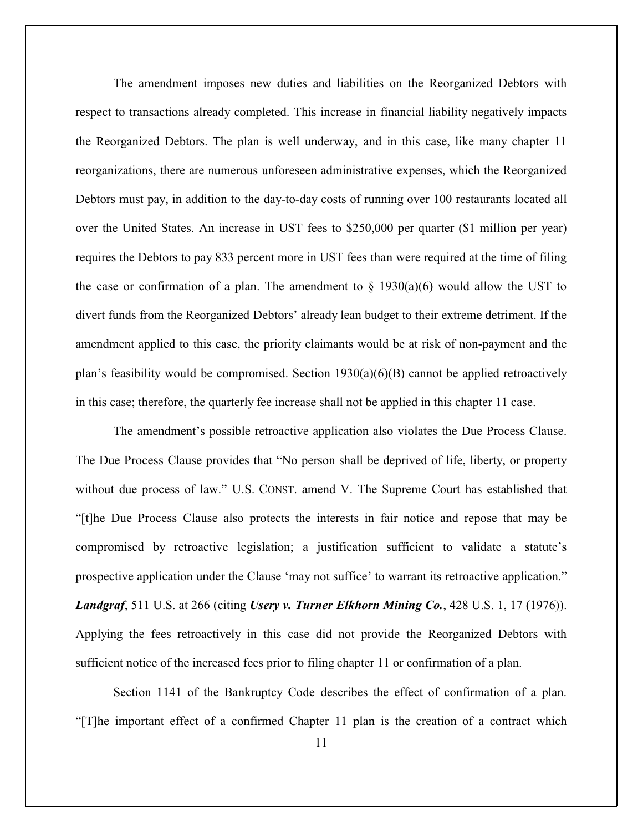The amendment imposes new duties and liabilities on the Reorganized Debtors with respect to transactions already completed. This increase in financial liability negatively impacts the Reorganized Debtors. The plan is well underway, and in this case, like many chapter 11 reorganizations, there are numerous unforeseen administrative expenses, which the Reorganized Debtors must pay, in addition to the day-to-day costs of running over 100 restaurants located all over the United States. An increase in UST fees to \$250,000 per quarter (\$1 million per year) requires the Debtors to pay 833 percent more in UST fees than were required at the time of filing the case or confirmation of a plan. The amendment to  $\S$  1930(a)(6) would allow the UST to divert funds from the Reorganized Debtors' already lean budget to their extreme detriment. If the amendment applied to this case, the priority claimants would be at risk of non-payment and the plan's feasibility would be compromised. Section  $1930(a)(6)(B)$  cannot be applied retroactively in this case; therefore, the quarterly fee increase shall not be applied in this chapter 11 case.

The amendment's possible retroactive application also violates the Due Process Clause. The Due Process Clause provides that "No person shall be deprived of life, liberty, or property without due process of law." U.S. CONST. amend V. The Supreme Court has established that "[t]he Due Process Clause also protects the interests in fair notice and repose that may be compromised by retroactive legislation; a justification sufficient to validate a statute's prospective application under the Clause 'may not suffice' to warrant its retroactive application." *Landgraf*, 511 U.S. at 266 (citing *Usery v. Turner Elkhorn Mining Co.*, 428 U.S. 1, 17 (1976)). Applying the fees retroactively in this case did not provide the Reorganized Debtors with sufficient notice of the increased fees prior to filing chapter 11 or confirmation of a plan.

Section 1141 of the Bankruptcy Code describes the effect of confirmation of a plan. "[T]he important effect of a confirmed Chapter 11 plan is the creation of a contract which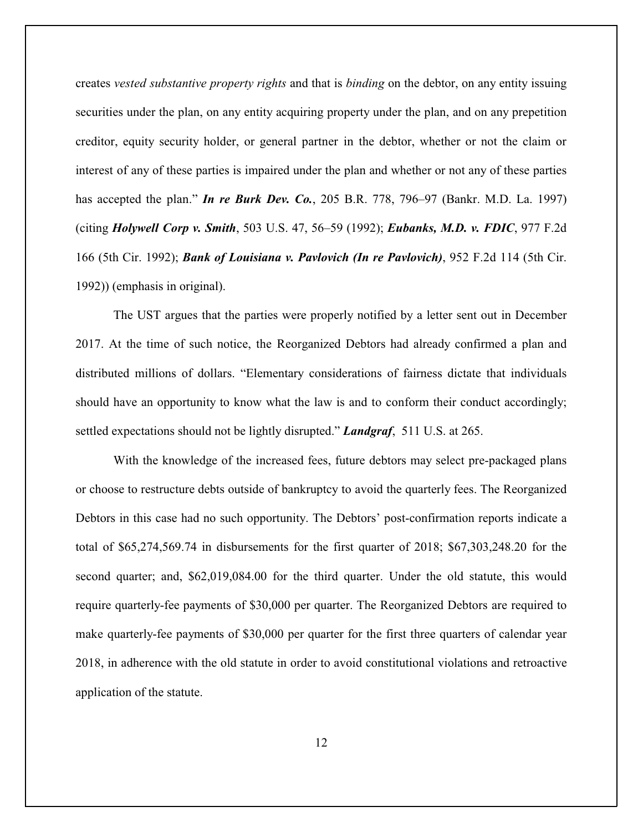creates *vested substantive property rights* and that is *binding* on the debtor, on any entity issuing securities under the plan, on any entity acquiring property under the plan, and on any prepetition creditor, equity security holder, or general partner in the debtor, whether or not the claim or interest of any of these parties is impaired under the plan and whether or not any of these parties has accepted the plan." *In re Burk Dev. Co.*, 205 B.R. 778, 796–97 (Bankr. M.D. La. 1997) (citing *Holywell Corp v. Smith*, 503 U.S. 47, 56–59 (1992); *Eubanks, M.D. v. FDIC*, 977 F.2d 166 (5th Cir. 1992); *Bank of Louisiana v. Pavlovich (In re Pavlovich)*, 952 F.2d 114 (5th Cir. 1992)) (emphasis in original).

The UST argues that the parties were properly notified by a letter sent out in December 2017. At the time of such notice, the Reorganized Debtors had already confirmed a plan and distributed millions of dollars. "Elementary considerations of fairness dictate that individuals should have an opportunity to know what the law is and to conform their conduct accordingly; settled expectations should not be lightly disrupted." *Landgraf*, 511 U.S. at 265.

With the knowledge of the increased fees, future debtors may select pre-packaged plans or choose to restructure debts outside of bankruptcy to avoid the quarterly fees. The Reorganized Debtors in this case had no such opportunity. The Debtors' post-confirmation reports indicate a total of \$65,274,569.74 in disbursements for the first quarter of 2018; \$67,303,248.20 for the second quarter; and, \$62,019,084.00 for the third quarter. Under the old statute, this would require quarterly-fee payments of \$30,000 per quarter. The Reorganized Debtors are required to make quarterly-fee payments of \$30,000 per quarter for the first three quarters of calendar year 2018, in adherence with the old statute in order to avoid constitutional violations and retroactive application of the statute.